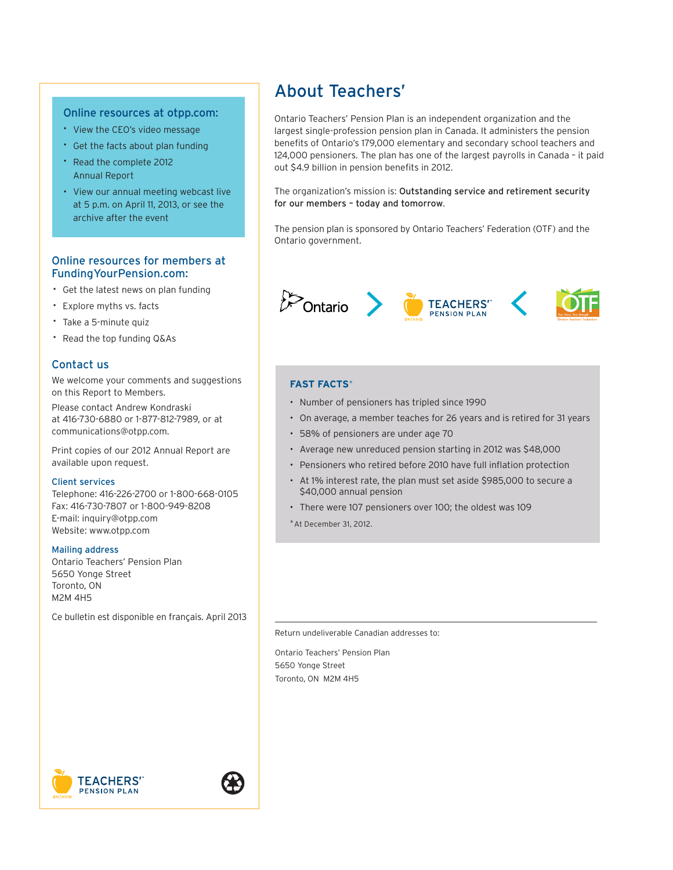

## AN EVOLVING PLAN

2012 REPORT TO MEMBERS

# 2012 **Highlights**

| Message from the       |           |
|------------------------|-----------|
| <b>Chair and CEO</b>   | $pq. 2-3$ |
| <b>Plan Funding</b>    | pg. 4     |
| <b>Member Services</b> | pg. 5     |
| Investments            | pg. 6-7   |

Ontario Teachers' Pension Plan is a recognized leader in pension fund management, governance, service and innovation. In 2012, the plan sponsors took a major step forward in ensuring our plan's evolution and ongoing viability.

 $13\%$  rate of return

### Investments

Teachers' investments performed extremely well in 2012, increasing net assets to a new high of \$129.5 billion. Our sustained focus on risk management and continuous search for the best investment opportunities support members' long-term retirement security.

# $9.1<sub>of</sub> 10<sub>1</sub>$

### Member Services

Again, more than half of members surveyed for our Quality Service Index gave us a perfect 10 out of 10. We serve an increasing number of clients, and continue to look for ways to deliver outstanding service at a reasonable cost.

97% funded

### Plan Funding

Our annual preliminary funding valuation showed the plan had 97% of the assets required to meet its longterm pension obligations. There was a \$5.1 billion gap between projected assets and liabilities (the cost of future pensions) on Jan. 1, 2013.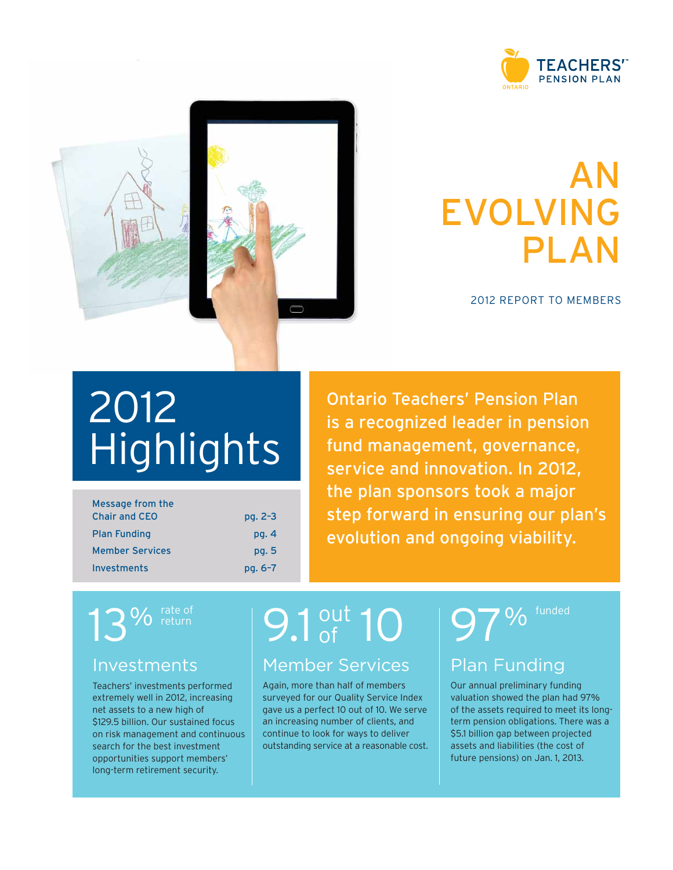### Report to Members

We are pleased to report that the plan sponsors, Ontario Teachers' Federation (OTF) and the Ontario government, filed a balanced valuation to eliminate a 2012 preliminary funding shortfall and took important steps to assure the plan's long-term funding stability. However, as expected, another preliminary shortfall emerged in 2013. While no immediate action is required, it illustrates the recurring nature of shortfalls in the Teachers' plan, as the projected cost of future pensions keeps growing faster than plan assets, despite solid investment returns.

### PROGRESS MADE IN 2012

The changes resulting from the 2012 valuation filed with the pension regulator are two-fold.

First, inflation protection for pension credit earned after 2013 will be 100% conditional. Increases for the portion of pensions earned after 2013 could range from zero to 100% of the change in the cost of living, depending on how much the plan can afford. In order to file a balanced 2012 funding valuation, the sponsors set inflation protection at 45% of the cost-of-living increase for pension credit earned after 2013. This will be reflected in pension increases beginning in 2015.

Second, inflation increases on the portion of pension credit earned during the 2010–2013 period will be reduced to 50%, beginning in 2014.

These changes allow the plan to manage its liabilities more effectively, while continuing to provide inflation protection when plan funding permits.

Pension credit earned before 2010 remains fully (100%) protected against increases in the cost of living.

### ADDITIONAL CHANGES REQUIRED

 to deliver outstanding financial returns, two key issues – Economic instability and persistent low interest rates have been a challenge for several years. While the plan continues demographics and intergenerational risk – mean we cannot rely solely on investment returns to bring the plan into balance.

"Our success at Teachers' comes from a commitment to our members that we will be the best in our industry by doing the right things every day to enhance pension security and service."

 JIM LEECH, MBA, ICD.D PRESIDENT AND CHIEF EXECUTIVE OFFICER

" With these changes, the sponsors have taken a positive step forward to protect pension security for all present and future plan members."

EILEEN MERCIER, MA, MBA, FICB, F.ICD **CHAIR** 

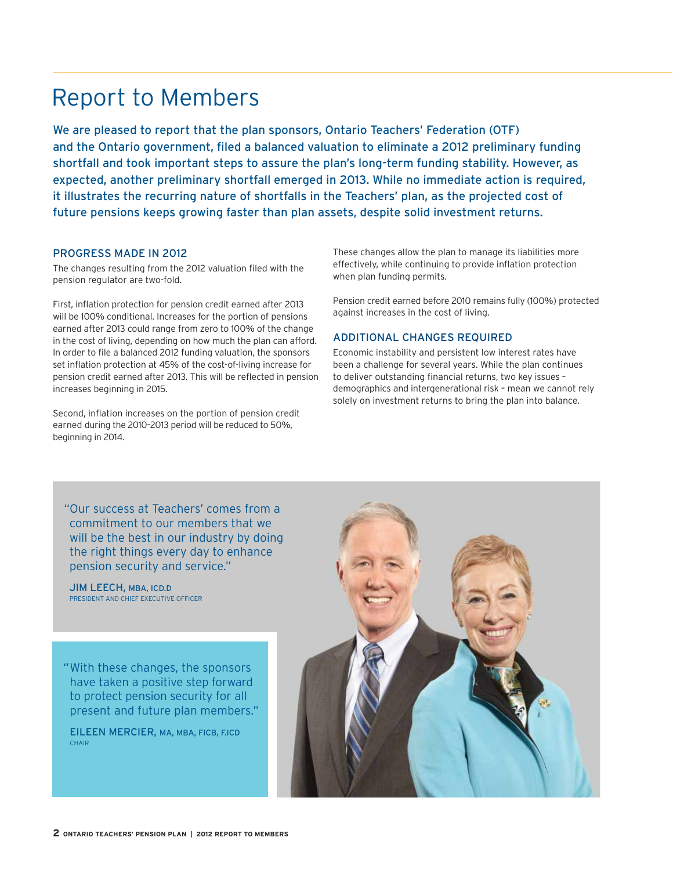#### PRELIMINARY FUNDING VALUATION (as at January 1) (\$ billions)



Despite contribution and benefi t changes and strong asset growth, funding shortfalls have been recurring for many years.

Teachers' is a mature plan. Working teachers are becoming a smaller proportion of the overall plan membership. This means we must manage investment risk more conservatively than pension plans whose membership is proportionately younger. In the past, occasional shortfalls or investment losses could be resolved by raising contribution rates; that is a much less effective option with fewer contributing members and higher contribution rates than in the past. Increased longevity leading to an imbalance between working and retirement periods is a significant funding risk: teachers typically work for 26 years and are retired for approximately 31 years.

 what changes they would prefer to see to allow the plan to evolve. Our plan is not alone in facing this demographic reality, but our sponsors are leading the way in addressing it. Dr. Harry Arthurs, professor at York University and former chair of the Ontario Expert Commission on Pensions, will facilitate deliberations between OTF and the government as they study possible solutions. Members will be surveyed in the future to determine

#### ALMOST FULLY FUNDED

Based on our preliminary funding valuation as of January 1, 2013, the plan is 97% funded, with a shortfall of \$5.1 billion (based on long-term projections). No action is needed to eliminate this funding deficit until the next funding valuation is required by the pension regulator.

### EXCELLENT RATE OF RETURN AND SERVICE CONTINUE

As a result of strong risk management and diversification, Teachers' net assets grew to \$129.5 billion in 2012. Our investment professionals achieved a 13% rate of return, surpassing the fund's 11% benchmark. Our 10-year total returns rank highest among global fund peers, and we also ranked first among our international peers for exceptional pension service, according to CEM Benchmarking Inc., an independent authority.

### PRESERVING THE DEFINED BENEFIT MODEL

At Teachers', we believe that defined benefit (DB) pensions are the best vehicle for providing adequate and predictable retirement income at a reasonable cost, especially as life expectancy increases.

At the same time, we also recognize that the model must be sustainable – with realistic expectations for investment returns, and the ability to deal with major economic downturns and changing factors that affect pension costs. In short, the DB model needs to evolve to remain relevant as economic and demographic conditions change.

In 2012, our sponsors took a major step forward in ensuring our plan's evolution and ongoing viability. They added flexibility and committed to studying and recommending solutions to other outstanding funding issues. We are on the path to meeting the changing needs of our membership and protecting pension security for all plan members.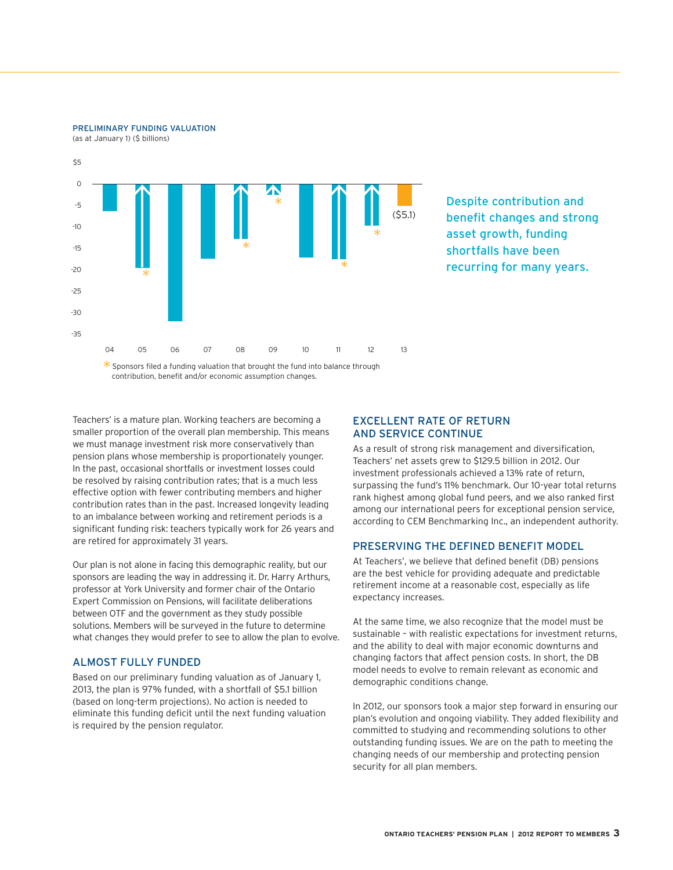### Plan Funding

The plan's most recent funding valuation projected a \$5.1 billion preliminary shortfall at January 1, 2013. The pension plan has experienced recurring funding shortfalls for many years. Despite strong investment returns, future pension costs are growing faster than plan assets due primarily to demographic and economic factors.

### WHAT IS A FUNDING VALUATION?

It is an independent actuary's assessment of the plan's long-term financial situation (70 or more years in the future). Using assumptions, it projects whether the pension plan has sufficient assets to cover the cost of future pension benefits for all current members. The plan sponsors use funding valuations to determine required contributions and pension benefit levels.

PRELIMINARY FUNDING VALUATION (as at January 1, 2013)



### ZERO TO 100% INFLATION PROTECTION INTRODUCED

While full inflation protection remains the goal, annual increases for pension credit earned after 2013 could range from zero to 100% of the change in the cost of living.

The new zero to 100% provision will have no effect on current retirees and minimal effect on older teachers, because the value of pensions already earned cannot be reduced under Ontario's Pension Benefits Act. Inflation protection is now based on three periods of credit:

| Pension Credit          | Inflation Protection | What It Means After a Member Retires                                                                                                                             |
|-------------------------|----------------------|------------------------------------------------------------------------------------------------------------------------------------------------------------------|
| Earned before 2010      | 100%                 | This portion of a member's pension keeps pace with<br>increases in the cost of living                                                                            |
| Earned during 2010-2013 | 50% to 100%          | Increases for this portion of a member's pension will<br>range from 50% to 100% of the increase in the cost<br>of living, depending on the plan's funded status  |
| Earned after 2013       | 0% to 100%           | Increases for this portion of a member's pension will<br>range from zero to 100% of the increase in the cost<br>of living, depending on the plan's funded status |



### Pension plan evolution

Teachers' has co-produced a documentary that examines how pension plans around the world are changing to stay ahead of their challenges. You can watch the video at [otpp.com](https://otpp.com).

Visit otpp.com and FundingYourPension.com for more information on the plan's funding challenges.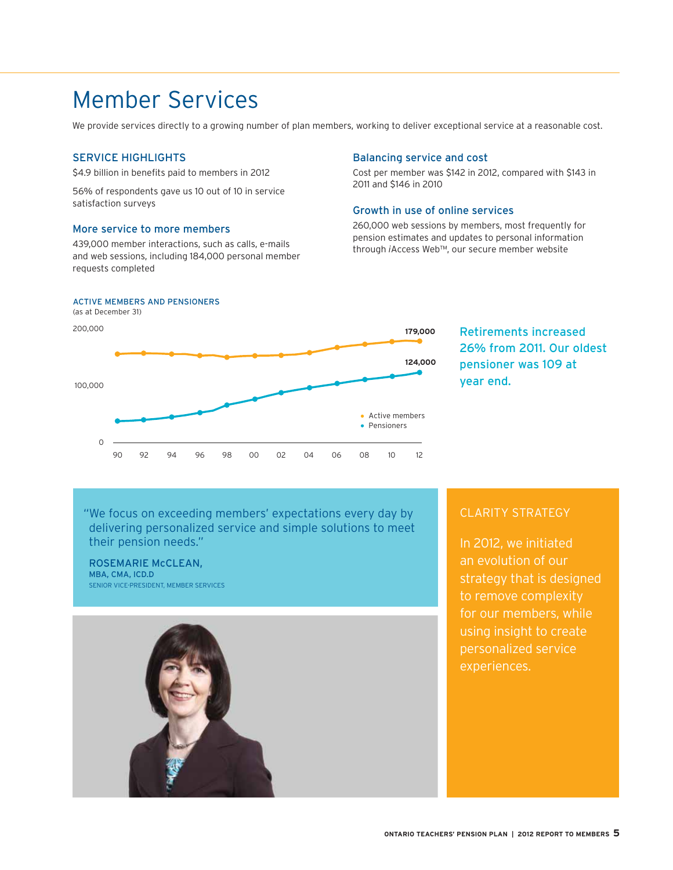### Investments

At Teachers' we believe superior investment returns are a consequence of detailed risk management and good judgment. Broad diversification across assets and geography is an important risk management tool. In 2012, the portfolio generated \$14.7 billion in investment income and net assets reached a record \$129.5 billion.

#### 2012 RATES OF RETURN COMPARED TO BENCHMARKS

| (percent)               | Actual | Benchmark |
|-------------------------|--------|-----------|
| <b>Equities</b>         | 14.2   | 13.1      |
| <b>Fixed income</b>     | 5.1    | 4.5       |
| Commodities             | (1.9)  | (1.1)     |
| <b>Real assets</b>      | 14.7   | 10.6      |
| Real estate             | 19.4   | 15.5      |
| Infrastructure          | 8.4    | 8.0       |
| Timberland              | 3.4    | 3.5       |
| Total plan <sup>1</sup> | 13.0   | 11.0      |

Returns generated by absolute return strategies and money market are included in the total plan return and not attributed to an asset class.

#### PENSION FUNDING SOURCES SINCE 1990



- **34%** Investments Active Management<br>• **43%** Investments Benchmark
- **<sup>43</sup>%** Investments Benchmark

 $\degree$  Includes 1% original plan deficit funding.

Active management of our portfolio has accounted for 34% of the plan's income since Teachers' inception in 1990.

Equities – Our investments in publicly listed and private companies around the world totalled \$59.5 billion at the end of 2012.

**Fixed income - Bonds offer steady income and stability for the pension** plan. We have steadily increased our holdings to \$60.0 billion since 2008's fi nancial crisis. **Commodities (1.9) (1.1)** 

Real estate – High-quality office and retail properties, mainly Canadian, are valued at \$16.9 billion and produce strong, predictable income.

Infrastructure - Infrastructure assets totalled \$9.6 billion and provide low-risk, stable returns linked to inflation.

### INVESTMENT BELIEFS

Teachers' investment beliefs define our philosophy for earning superior risk adjusted returns. These beliefs, codified in 2012 and available on otpp.com, support the plan's mission, vision and values.

"We have a risk-conscious culture. We champion risk awareness and accountability across our investment teams."

NEIL PETROFF, MBA EXECUTIVE VICE-PRESIDENT, INVESTMENTS AND CHIEF INVESTMENT OFFICER

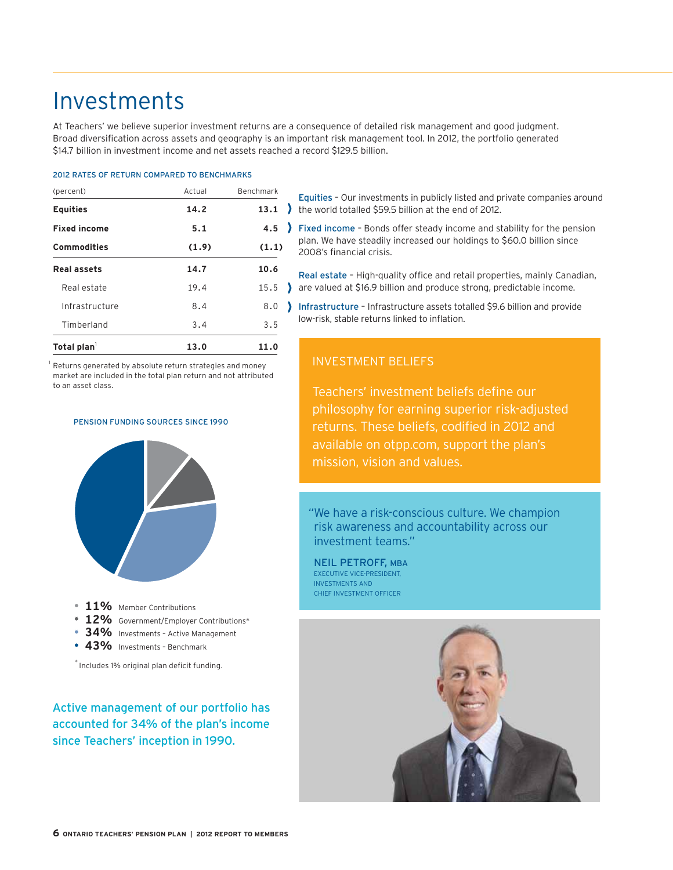### Major Investments

All figures as at December 31, 2012

#### Bonds and real-return instruments

(\$ billions)

| Canadian real-return bonds and mortgages<br>Government of Canada bonds                                                                                                                                                                                                                                                                                            | \$22.0<br>20.6           |
|-------------------------------------------------------------------------------------------------------------------------------------------------------------------------------------------------------------------------------------------------------------------------------------------------------------------------------------------------------------------|--------------------------|
| International government and real-return bonds and debt<br>Canadian treasury bills<br>Provincial bonds                                                                                                                                                                                                                                                            | 9.1<br>7.3               |
| Canadian and international corporate bonds<br>United States government agency bonds<br>Bank notes                                                                                                                                                                                                                                                                 | 5.6<br>4.8<br>2.6<br>0.1 |
| Top 10 private companies and partnerships<br>Empresa de Servicios Sanitarios del Bio-Bio S.A.<br>Esval S.A.<br>Express Pipeline Ltd.<br><b>GCT Global Container Terminals Inc.</b><br><b>HS1 Limited</b><br>Orbis SICAV Global Equity Fund<br>Resource Management Service Inc.<br>Scotia Gas Networks PLC<br>The Brussels Airport Company<br>TP Partners Fund, LP |                          |
| Top 10 real estate properties<br>(Portfolio managed by subsidiary The Cadillac Fairview Corporation Limited)                                                                                                                                                                                                                                                      |                          |
| Chinook Centre, Calgary<br>Le Carrefour Laval, Montreal<br>Les Promenades St. Bruno, Montreal<br>Pacific Centre, Vancouver<br>Polo Park Mall Winnineg                                                                                                                                                                                                             |                          |

Polo Park Mall, Winnipeg Queens Center, Queens, New York Rideau Centre, Ottawa Sherway Gardens, Toronto Toronto-Dominion Centre, Toronto Toronto Eaton Centre, Toronto

### Corporate shares/units over \$100 million

(millions)

| Security Name                       | <b>Shares</b> | Fair Value |
|-------------------------------------|---------------|------------|
| iShares MSCI Emerging Markets Index | 56.8          | \$2,507.0  |
| Multiplan Empreendimentos           |               |            |
| Imobiliarios S.A.                   | 52.1          | 1,541.6    |
| Hitachi, Ltd.                       | 117.5         | 682.1      |
| Canadian Natural Resources Limited  | 17.0          | 487.9      |
| Michael Kors Holdings Limited       | 9.2           | 465.0      |
| Nippon Telegraph and                |               |            |
| Telephone Corporation               | 7.8           | 324.8      |
| <b>ACE Limited</b>                  | 3.9           | 310.8      |
| Wells Fargo & Company*              | 9.4           | 292.9      |
| Toronto-Dominion Bank, The          | 4.1           | 286.5      |
| Royal Bank of Canada                | 4.6           | 276.4      |
| Transocean Ltd.                     | 6.1           | 269.1      |
| Grupo BTG Pactual                   | 16.6          | 239.0      |
| <b>TMX Group Limited</b>            | 4.6           | 235.6      |
| European Aeronautic Defence and     |               |            |
| Space Company N.V.                  | 6.1           | 235.2      |
| JPMorgan Chase & Co.*               | 5.5           | 232.6      |
| Microsoft Corporation               | 8.4           | 223.3      |
| <b>CSX Corporation</b>              | 10.8          | 212.6      |
| MMX Mineracao e Metalicos S.A.      | 124.1         | 210.1      |
| <b>Sprint Nextel Corporation</b>    | 37.2          | 209.9      |
| Bank of Nova Scotia                 | 3.6           | 206.4      |
| Google Inc.                         | 0.3           | 205.3      |
| Goldcorp Inc.                       | 5.6           | 203.7      |

| Security Name                                | Shares | Fair Value |
|----------------------------------------------|--------|------------|
| Kroger Co., The                              | 7.9    | \$203.6    |
| Nestlé S.A.                                  | 3.1    | 198.8      |
| Royal Dutch Shell plc                        | 3.2    | 194.0      |
| <b>Barrick Gold Corporation</b>              | 5.5    | 193.2      |
| <b>3M Company</b>                            | 2.1    | 191.5      |
| Lafarge S.A.                                 | 3.0    | 188.5      |
| Akzo Nobel N.V.                              | 2.9    | 188.1      |
| PNC Financial Services Group, Inc.*          | 3.8    | 181.9      |
| Daiwa Securities Group Inc.                  | 31.0   | 169.8      |
| Ivanplats Ltd.                               | 4.2    | 168.9      |
| The Walt Disney Company                      | 3.4    | 166.6      |
| Credit Suisse Group AG                       | 6.8    | 164.0      |
| Novartis AG                                  | 2.6    | 162.9      |
| DaimlerChrysler AG                           | 3.0    | 162.5      |
| <b>UBS AG</b>                                | 10.2   | 158.8      |
| Apple Inc.                                   | 0.3    | 157.4      |
| MacDonald, Dettwiler and Associates Ltd.     | 2.8    | 155.3      |
| Toyota Motor Corporation                     | 3.3    | 150.4      |
| <b>CVS Caremark Corporation</b>              | 3.1    | 150.2      |
| Total S.A.                                   | 3.2    | 148.6      |
| Unilever N.V.                                | 3.9    | 148.5      |
| SunTrust Banks, Inc. <sup>®</sup>            | 5.3    | 146.3      |
| <b>Exxon Mobil Corporation</b>               | 1.7    | 146.2      |
| <b>FedEx Corporation</b>                     | 1.6    | 146.1      |
| LLX Logistica S.A.                           | 124.1  | 144.9      |
| The Bank of New York Mellon                  |        |            |
| Corporation                                  | 5.6    | 143.7      |
| <b>News Corporation</b>                      | 5.7    | 143.7      |
| <b>Intel Corporation</b>                     | 6.9    | 142.1      |
| Applied Materials, Inc.                      | 12.5   | 142.0      |
| Cemex, S.A. de C.V.                          | 22.0   | 141.1      |
| Canadian Imperial Bank of Commerce           | 1.8    | 140.1      |
| Metlife, Inc.                                | 4.3    | 138.9      |
| Pfizer Inc.                                  | 5.5    | 137.1      |
| <b>HSBC Holdings plc</b>                     | 12.5   | 131.3      |
| <b>Bank of Montreal</b>                      | 2.2    | 131.2      |
| Chow Tai Fook Jewellery Company              |        |            |
| Limited                                      | 81.0   | 130.0      |
| <b>Oracle Corporation</b>                    | 3.8    | 126.2      |
| NuVista Energy Ltd.                          | 21.5   | 126.0      |
| Koninklijke (Royal) Philips Electronics N.V. | 4.8    | 125.9      |
| Continental AG                               | 1.1    | 123.7      |
| Portugal Telecom, SGPS, S.A.                 | 24.8   | 121.8      |
| Shriram Transport Finance Company Ltd.       | 8.8    | 121.3      |
| Canadian National Railway Company            | 1.3    | 120.4      |
| General Mills, Inc.                          | 2.9    | 118.0      |
| TripAdvisor, Inc.                            | 2.8    | 117.8      |
| Enbridge Inc.                                | 2.8    | 116.2      |
| Viacom Inc.                                  | 2.2    | 114.6      |
| TransCanada Corporation                      | 2.4    | 113.5      |
| Sampo Oyj                                    | 3.5    | 113.4      |
| Chesapeake Energy Corporation                | 6.8    | 112.7      |
| Idea Cellular Limited                        | 58.8   | 110.9      |
| Potash Corporation of Saskatchewan Inc.      | 2.7    | 109.7      |
| Rockwell Collins, Inc.                       | 1.9    | 108.0      |
| Aurizon Holdings Limited                     | 27.6   | 106.9      |
| <b>International Business Machines</b>       |        |            |
| Corporation                                  | 0.6    | 106.0      |
| Cisco Systems, Inc.                          | 5.3    | 103.5      |
| Cheung Kong (Holdings) Limited               | 6.8    | 103.3      |
| Republic Services, Inc.                      | 3.5    | 102.1      |
| Woodside Petroleum Ltd.                      | 2.9    | 101.2      |
| Ferrovial, S.A.                              | 6.9    | 100.8      |
| Itaú Unibanco Holding S.A.                   | 6.1    | 100.3      |

\* Includes fair market value of warrants and subscription receipts.